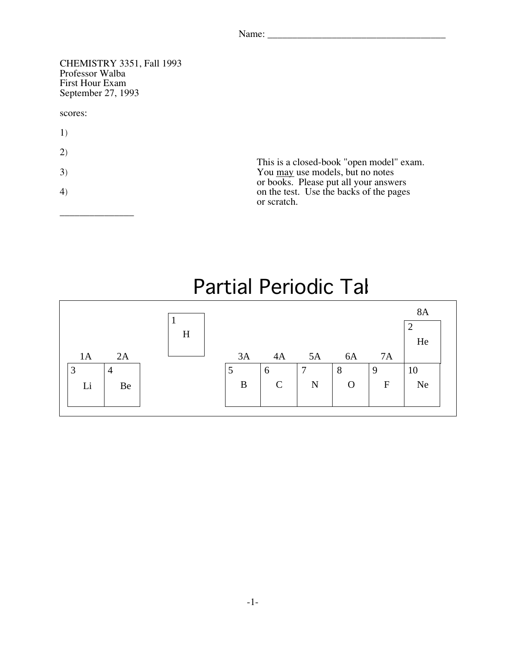| Name:<br>$\mathbf{u}$ |  |  |  |
|-----------------------|--|--|--|
|                       |  |  |  |

CHEMISTRY 3351, Fall 1993 First Hour Exam r not riott Exten<br>Sentember 27–19  $S$ eptember 27, 1993 scores: 1) 2) This is a closed-book "open model" exam.<br>You <u>may</u> use models, but no notes  $\frac{1}{3}$  as models, but no notes or hooks. Please nut all your answ or books. Please put all your answers<br>on the test. Use the backs of the page 4) on the test. Use the backs of the pages or scratch.

\_\_\_\_\_\_\_\_\_\_\_\_\_\_\_

## Partial Periodic Tal

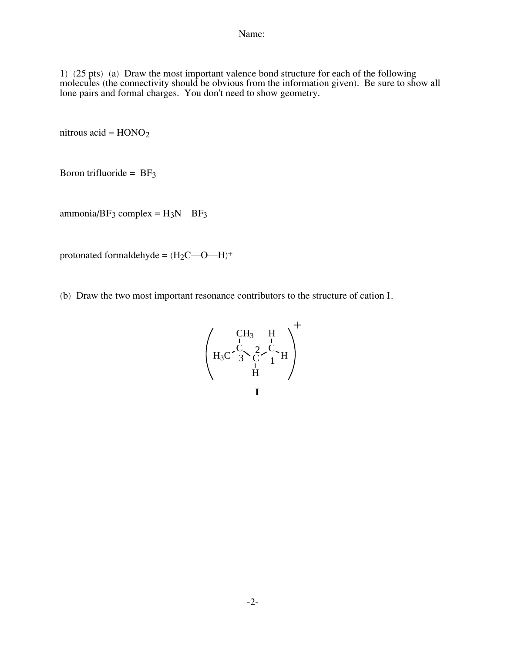1) (25 pts) (a) Draw the most important valence bond structure for each of the following molecules (the connectivity should be obvious from the information given). Be <u>sure</u> to show all lone pairs and formal charges. You don't need to show geometry.

nitrous acid =  $HONO<sub>2</sub>$ 

Boron trifluoride =  $BF_3$ 

ammonia/ $BF_3$  complex =  $H_3N$ — $BF_3$ 

protonated formaldehyde =  $(H_2C - O - H)^+$ 

(b) Draw the two most important resonance contributors to the structure of cation I.

H3C C C C CH<sup>3</sup> H H H + 1 2 3 **I**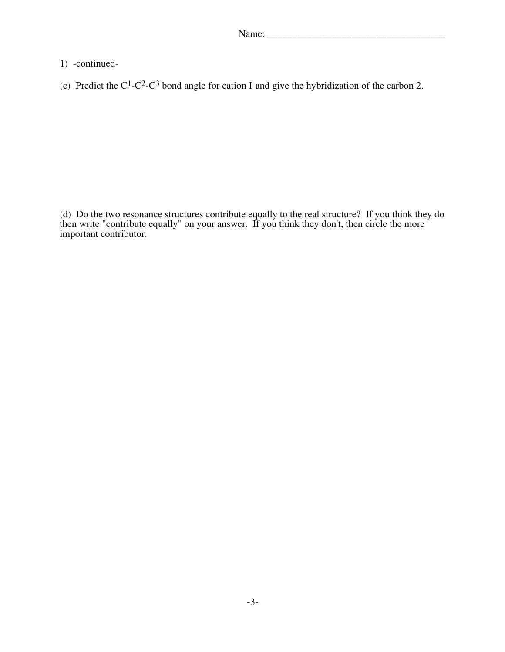- 1) -continued-
- (c) Predict the  $C^1$ -C<sup>2</sup>-C<sup>3</sup> bond angle for cation I and give the hybridization of the carbon 2.

then write "contribute equally" on your answer. If you think they don't, then circle the more important contributor important contributor.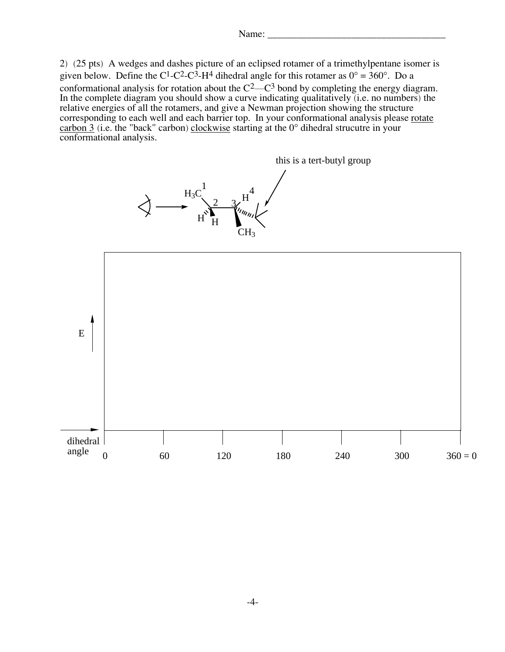```
\sum_{i=1}^{n}
```
2) (25 pts) A wedges and dashes picture of an eclipsed rotamer of a trimethylpentane isomer is given below. Define the C<sup>1</sup>-C<sup>2</sup>-C<sup>3</sup>-H<sup>4</sup> dihedral angle for this rotamer as  $0^{\circ} = 360^{\circ}$ . Do a conformational analysis for rotation about the  $C<sup>2</sup>$ -C<sup>3</sup> bond by completing the energy diagram. In the complete diagram you should show a curve indicating qualitatively (i.e. no numbers) the relative energies of all the rotamers, and give a Newman projection showing the structure corresponding to each well and each barrier top. In your conformational analysis please rotate corresponding to each well and each barrier top. In your combinational analysis prease <u>rotate</u> carbon 3 (i.e. the "back" carbon) clockwise starting at the  $0^{\circ}$  dihedral strucutre in your carbon 3 (i.e. the "back" carbon) <u>clockwise</u> starting at the 0° different structure in your<br>conformational analysis conformational analysis.

> $H_3C$  $H$ ,  $H$ CH<sub>3</sub> this is a tert-butyl group 1  $\frac{2}{3}$ 4

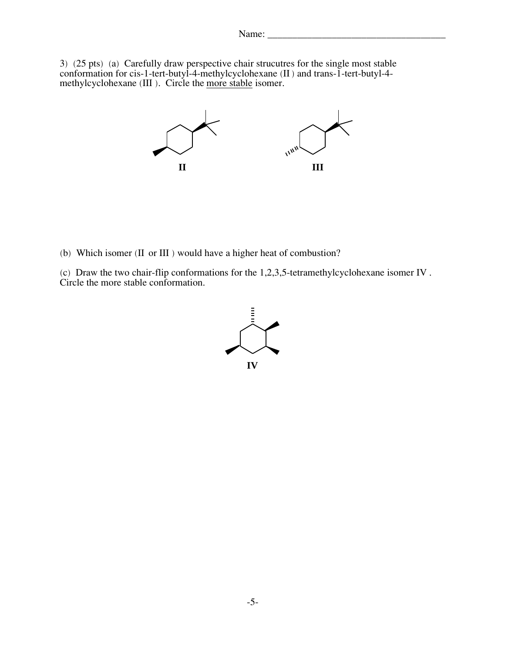3) (25 pts) (a) Carefully draw perspective chair strucutres for the single most stable conformation for cis-1-tert-butyl-4-methylcyclohexane  $(II)$  and trans-1-tert-butyl-4-methylcyclohexane (III)  $\overline{I}$  Circle the more stable isomer methylcyclohexane (III). Chele the <u>more stable</u> isomer.



(b) Which isomer (II or III ) would have a higher heat of combustion?

 $(c)$  Draw the two chair-rile conformations for the 1,2,3,5 $\mu$  tetramethylcy conclude isomer IV . Circle the more stable conformation.

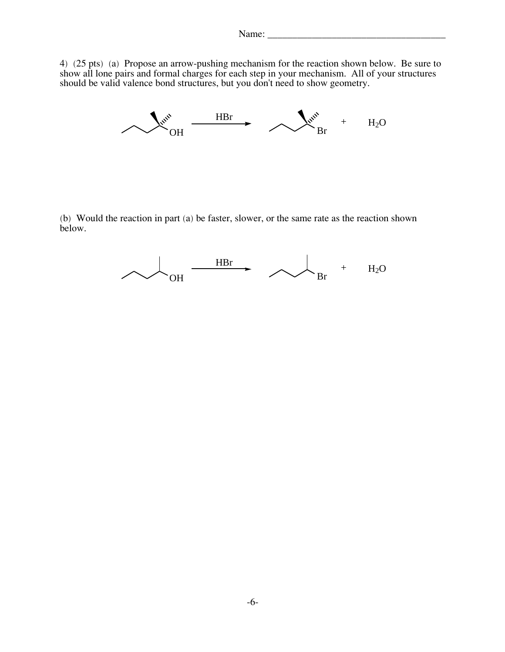$\frac{4}{5}$  ( $\frac{25}{2}$  pts) (a) Propose an arrow-pushing mechanism for the reaction shown below. Be sure to show all lone pairs and formal charges for each step in your mechanism. All of your structures show all lone pairs and formal charges for each step in your mechanism. All of your structures<br>should be valid valence bond structures, but you don't need to show geometry.



(b) Would the reaction in part (a) be faster, slower, or the same rate as the reaction shown below.